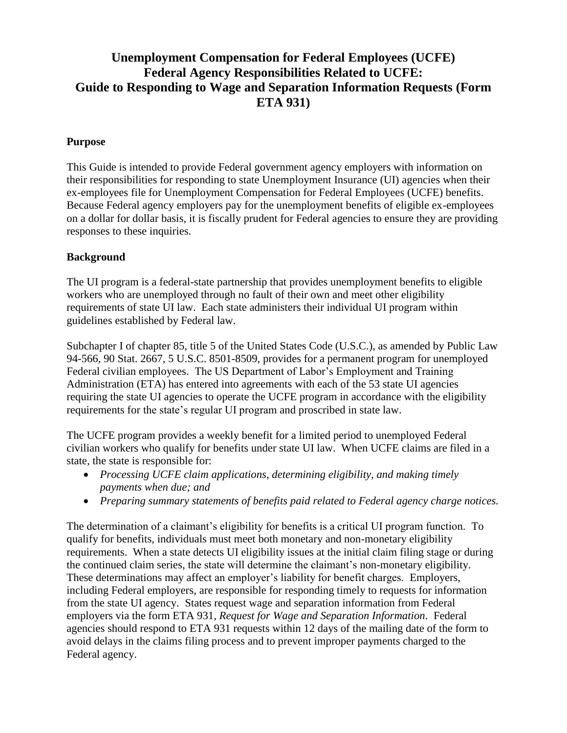# **Unemployment Compensation for Federal Employees (UCFE) Federal Agency Responsibilities Related to UCFE: Guide to Responding to Wage and Separation Information Requests (Form ETA 931)**

# **Purpose**

This Guide is intended to provide Federal government agency employers with information on their responsibilities for responding to state Unemployment Insurance (UI) agencies when their ex-employees file for Unemployment Compensation for Federal Employees (UCFE) benefits. Because Federal agency employers pay for the unemployment benefits of eligible ex-employees on a dollar for dollar basis, it is fiscally prudent for Federal agencies to ensure they are providing responses to these inquiries.

### **Background**

The UI program is a federal-state partnership that provides unemployment benefits to eligible workers who are unemployed through no fault of their own and meet other eligibility requirements of state UI law. Each state administers their individual UI program within guidelines established by Federal law.

Subchapter I of chapter 85, title 5 of the United States Code (U.S.C.), as amended by Public Law 94-566, 90 Stat. 2667, 5 U.S.C. 8501-8509, provides for a permanent program for unemployed Federal civilian employees. The US Department of Labor's Employment and Training Administration (ETA) has entered into agreements with each of the 53 state UI agencies requiring the state UI agencies to operate the UCFE program in accordance with the eligibility requirements for the state's regular UI program and proscribed in state law.

The UCFE program provides a weekly benefit for a limited period to unemployed Federal civilian workers who qualify for benefits under state UI law. When UCFE claims are filed in a state, the state is responsible for:

- *Processing UCFE claim applications, determining eligibility, and making timely payments when due; and*
- *Preparing summary statements of benefits paid related to Federal agency charge notices.*

The determination of a claimant's eligibility for benefits is a critical UI program function. To qualify for benefits, individuals must meet both monetary and non-monetary eligibility requirements. When a state detects UI eligibility issues at the initial claim filing stage or during the continued claim series, the state will determine the claimant's non-monetary eligibility. These determinations may affect an employer's liability for benefit charges. Employers, including Federal employers, are responsible for responding timely to requests for information from the state UI agency. States request wage and separation information from Federal employers via the form ETA 931, *Request for Wage and Separation Information*. Federal agencies should respond to ETA 931 requests within 12 days of the mailing date of the form to avoid delays in the claims filing process and to prevent improper payments charged to the Federal agency.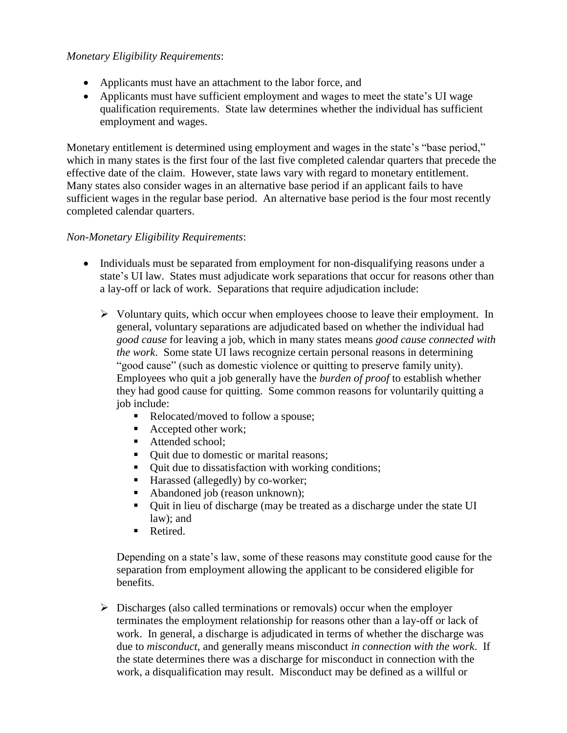# *Monetary Eligibility Requirements*:

- Applicants must have an attachment to the labor force, and
- Applicants must have sufficient employment and wages to meet the state's UI wage qualification requirements. State law determines whether the individual has sufficient employment and wages.

Monetary entitlement is determined using employment and wages in the state's "base period," which in many states is the first four of the last five completed calendar quarters that precede the effective date of the claim. However, state laws vary with regard to monetary entitlement. Many states also consider wages in an alternative base period if an applicant fails to have sufficient wages in the regular base period. An alternative base period is the four most recently completed calendar quarters.

### *Non-Monetary Eligibility Requirements*:

- Individuals must be separated from employment for non-disqualifying reasons under a state's UI law. States must adjudicate work separations that occur for reasons other than a lay-off or lack of work. Separations that require adjudication include:
	- $\triangleright$  Voluntary quits, which occur when employees choose to leave their employment. In general, voluntary separations are adjudicated based on whether the individual had *good cause* for leaving a job, which in many states means *good cause connected with the work*. Some state UI laws recognize certain personal reasons in determining "good cause" (such as domestic violence or quitting to preserve family unity). Employees who quit a job generally have the *burden of proof* to establish whether they had good cause for quitting. Some common reasons for voluntarily quitting a job include:
		- Relocated/moved to follow a spouse;
		- Accepted other work;
		- Attended school:
		- Ouit due to domestic or marital reasons;
		- Quit due to dissatisfaction with working conditions;
		- Harassed (allegedly) by co-worker;
		- Abandoned job (reason unknown);
		- Quit in lieu of discharge (may be treated as a discharge under the state UI law); and
		- Retired.

Depending on a state's law, some of these reasons may constitute good cause for the separation from employment allowing the applicant to be considered eligible for benefits.

 $\triangleright$  Discharges (also called terminations or removals) occur when the employer terminates the employment relationship for reasons other than a lay-off or lack of work. In general, a discharge is adjudicated in terms of whether the discharge was due to *misconduct*, and generally means misconduct *in connection with the work*. If the state determines there was a discharge for misconduct in connection with the work, a disqualification may result. Misconduct may be defined as a willful or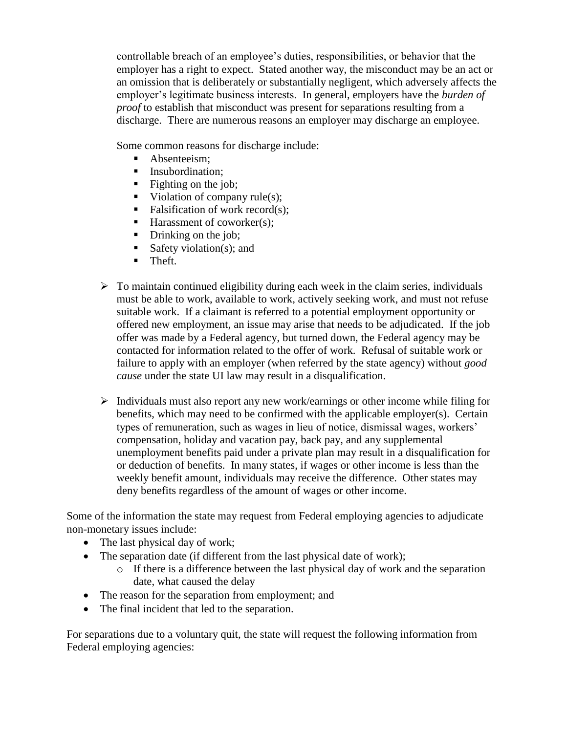controllable breach of an employee's duties, responsibilities, or behavior that the employer has a right to expect. Stated another way, the misconduct may be an act or an omission that is deliberately or substantially negligent, which adversely affects the employer's legitimate business interests. In general, employers have the *burden of proof* to establish that misconduct was present for separations resulting from a discharge. There are numerous reasons an employer may discharge an employee.

Some common reasons for discharge include:

- Absenteeism:
- **Insubordination:**
- $\blacksquare$  Fighting on the job;
- Violation of company rule(s);
- Falsification of work record $(s)$ ;
- $\blacksquare$  Harassment of coworker(s):
- Drinking on the job;
- Safety violation(s); and
- **Theft.**
- $\triangleright$  To maintain continued eligibility during each week in the claim series, individuals must be able to work, available to work, actively seeking work, and must not refuse suitable work.If a claimant is referred to a potential employment opportunity or offered new employment, an issue may arise that needs to be adjudicated. If the job offer was made by a Federal agency, but turned down, the Federal agency may be contacted for information related to the offer of work. Refusal of suitable work or failure to apply with an employer (when referred by the state agency) without *good cause* under the state UI law may result in a disqualification.
- $\triangleright$  Individuals must also report any new work/earnings or other income while filing for benefits, which may need to be confirmed with the applicable employer(s). Certain types of remuneration, such as wages in lieu of notice, dismissal wages, workers' compensation, holiday and vacation pay, back pay, and any supplemental unemployment benefits paid under a private plan may result in a disqualification for or deduction of benefits. In many states, if wages or other income is less than the weekly benefit amount, individuals may receive the difference. Other states may deny benefits regardless of the amount of wages or other income.

Some of the information the state may request from Federal employing agencies to adjudicate non-monetary issues include:

- The last physical day of work;
- The separation date (if different from the last physical date of work);
	- o If there is a difference between the last physical day of work and the separation date, what caused the delay
- The reason for the separation from employment; and
- The final incident that led to the separation.

For separations due to a voluntary quit, the state will request the following information from Federal employing agencies: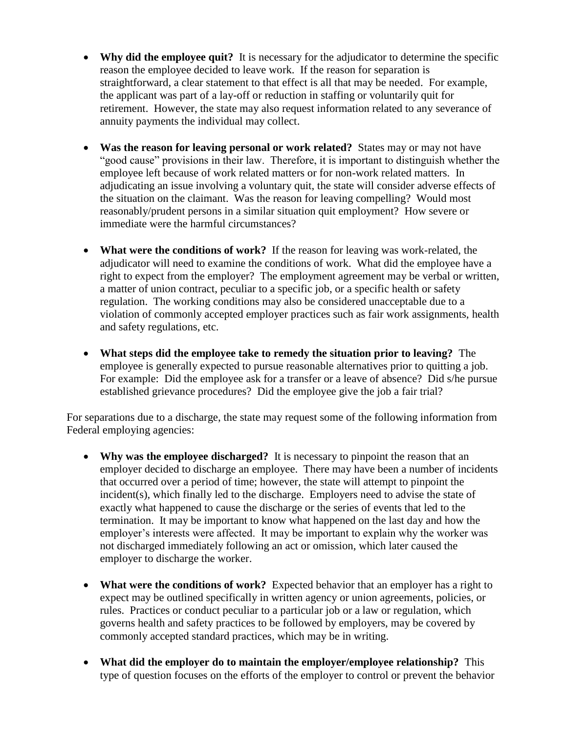- Why did the employee quit? It is necessary for the adjudicator to determine the specific reason the employee decided to leave work. If the reason for separation is straightforward, a clear statement to that effect is all that may be needed. For example, the applicant was part of a lay-off or reduction in staffing or voluntarily quit for retirement. However, the state may also request information related to any severance of annuity payments the individual may collect.
- **Was the reason for leaving personal or work related?** States may or may not have "good cause" provisions in their law. Therefore, it is important to distinguish whether the employee left because of work related matters or for non-work related matters. In adjudicating an issue involving a voluntary quit, the state will consider adverse effects of the situation on the claimant. Was the reason for leaving compelling? Would most reasonably/prudent persons in a similar situation quit employment? How severe or immediate were the harmful circumstances?
- **What were the conditions of work?** If the reason for leaving was work-related, the adjudicator will need to examine the conditions of work. What did the employee have a right to expect from the employer? The employment agreement may be verbal or written, a matter of union contract, peculiar to a specific job, or a specific health or safety regulation. The working conditions may also be considered unacceptable due to a violation of commonly accepted employer practices such as fair work assignments, health and safety regulations, etc.
- **What steps did the employee take to remedy the situation prior to leaving?** The employee is generally expected to pursue reasonable alternatives prior to quitting a job. For example: Did the employee ask for a transfer or a leave of absence? Did s/he pursue established grievance procedures? Did the employee give the job a fair trial?

For separations due to a discharge, the state may request some of the following information from Federal employing agencies:

- **Why was the employee discharged?** It is necessary to pinpoint the reason that an employer decided to discharge an employee. There may have been a number of incidents that occurred over a period of time; however, the state will attempt to pinpoint the incident(s), which finally led to the discharge. Employers need to advise the state of exactly what happened to cause the discharge or the series of events that led to the termination. It may be important to know what happened on the last day and how the employer's interests were affected. It may be important to explain why the worker was not discharged immediately following an act or omission, which later caused the employer to discharge the worker.
- **What were the conditions of work?** Expected behavior that an employer has a right to expect may be outlined specifically in written agency or union agreements, policies, or rules. Practices or conduct peculiar to a particular job or a law or regulation, which governs health and safety practices to be followed by employers, may be covered by commonly accepted standard practices, which may be in writing.
- **What did the employer do to maintain the employer/employee relationship?** This type of question focuses on the efforts of the employer to control or prevent the behavior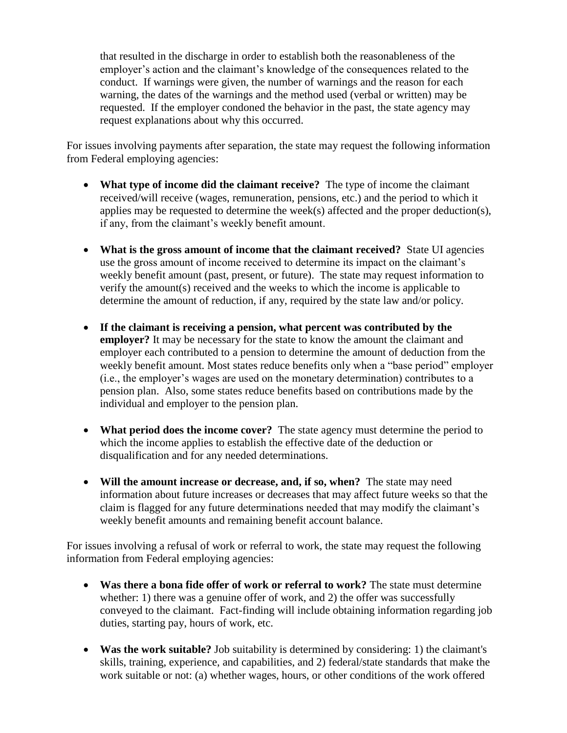that resulted in the discharge in order to establish both the reasonableness of the employer's action and the claimant's knowledge of the consequences related to the conduct. If warnings were given, the number of warnings and the reason for each warning, the dates of the warnings and the method used (verbal or written) may be requested. If the employer condoned the behavior in the past, the state agency may request explanations about why this occurred.

For issues involving payments after separation, the state may request the following information from Federal employing agencies:

- **What type of income did the claimant receive?** The type of income the claimant received/will receive (wages, remuneration, pensions, etc.) and the period to which it applies may be requested to determine the week(s) affected and the proper deduction(s), if any, from the claimant's weekly benefit amount.
- **What is the gross amount of income that the claimant received?** State UI agencies use the gross amount of income received to determine its impact on the claimant's weekly benefit amount (past, present, or future). The state may request information to verify the amount(s) received and the weeks to which the income is applicable to determine the amount of reduction, if any, required by the state law and/or policy.
- **If the claimant is receiving a pension, what percent was contributed by the employer?** It may be necessary for the state to know the amount the claimant and employer each contributed to a pension to determine the amount of deduction from the weekly benefit amount. Most states reduce benefits only when a "base period" employer (i.e., the employer's wages are used on the monetary determination) contributes to a pension plan. Also, some states reduce benefits based on contributions made by the individual and employer to the pension plan.
- **What period does the income cover?** The state agency must determine the period to which the income applies to establish the effective date of the deduction or disqualification and for any needed determinations.
- **Will the amount increase or decrease, and, if so, when?** The state may need information about future increases or decreases that may affect future weeks so that the claim is flagged for any future determinations needed that may modify the claimant's weekly benefit amounts and remaining benefit account balance.

For issues involving a refusal of work or referral to work, the state may request the following information from Federal employing agencies:

- **Was there a bona fide offer of work or referral to work?** The state must determine whether: 1) there was a genuine offer of work, and 2) the offer was successfully conveyed to the claimant. Fact-finding will include obtaining information regarding job duties, starting pay, hours of work, etc.
- **Was the work suitable?** Job suitability is determined by considering: 1) the claimant's skills, training, experience, and capabilities, and 2) federal/state standards that make the work suitable or not: (a) whether wages, hours, or other conditions of the work offered